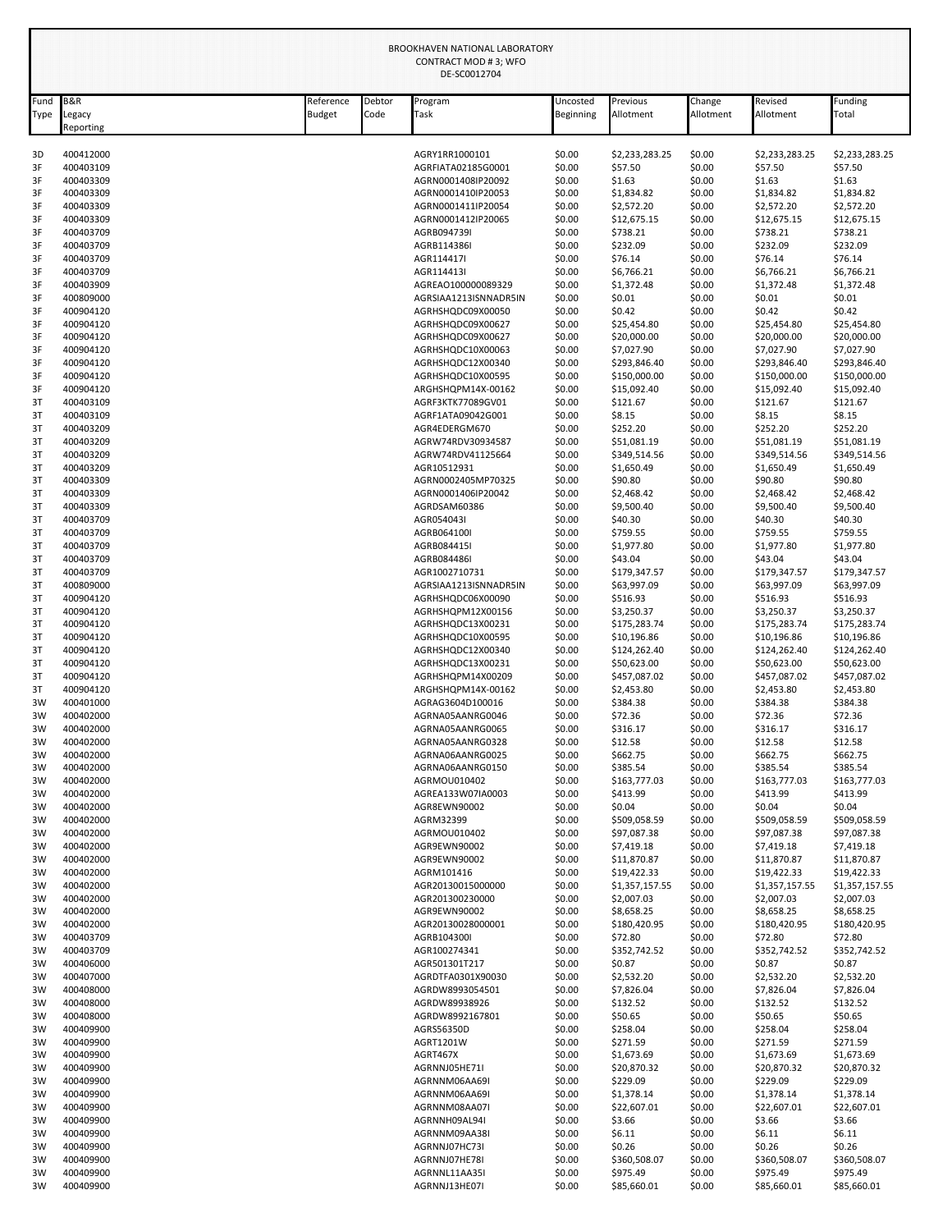| BROOKHAVEN NATIONAL LABORATORY<br>CONTRACT MOD #3; WFO<br>DE-SC0012704 |                            |                     |                |                                            |                       |                             |                     |                             |                             |
|------------------------------------------------------------------------|----------------------------|---------------------|----------------|--------------------------------------------|-----------------------|-----------------------------|---------------------|-----------------------------|-----------------------------|
| Fund<br>Type                                                           | B&R<br>Legacy<br>Reporting | Reference<br>Budget | Debtor<br>Code | Program<br>Task                            | Uncosted<br>Beginning | Previous<br>Allotment       | Change<br>Allotment | Revised<br>Allotment        | Funding<br>Total            |
| 3D                                                                     | 400412000                  |                     |                | AGRY1RR1000101                             | \$0.00                | \$2,233,283.25              | \$0.00              | \$2,233,283.25              | \$2,233,283.25              |
| 3F                                                                     | 400403109                  |                     |                | AGRFIATA02185G0001                         | \$0.00                | \$57.50                     | \$0.00              | \$57.50                     | \$57.50                     |
| 3F                                                                     | 400403309                  |                     |                | AGRN0001408IP20092                         | \$0.00                | \$1.63                      | \$0.00              | \$1.63                      | \$1.63                      |
| 3F<br>3F                                                               | 400403309<br>400403309     |                     |                | AGRN0001410IP20053<br>AGRN0001411IP20054   | \$0.00<br>\$0.00      | \$1,834.82<br>\$2,572.20    | \$0.00<br>\$0.00    | \$1,834.82<br>\$2,572.20    | \$1,834.82<br>\$2,572.20    |
| 3F                                                                     | 400403309                  |                     |                | AGRN0001412IP20065                         | \$0.00                | \$12,675.15                 | \$0.00              | \$12,675.15                 | \$12,675.15                 |
| 3F                                                                     | 400403709                  |                     |                | AGRB094739I                                | \$0.00                | \$738.21                    | \$0.00              | \$738.21                    | \$738.21                    |
| 3F                                                                     | 400403709                  |                     |                | AGRB114386I                                | \$0.00                | \$232.09                    | \$0.00              | \$232.09                    | \$232.09                    |
| 3F                                                                     | 400403709                  |                     |                | AGR114417I                                 | \$0.00                | \$76.14                     | \$0.00              | \$76.14                     | \$76.14                     |
| 3F                                                                     | 400403709                  |                     |                | AGR114413I                                 | \$0.00                | \$6,766.21                  | \$0.00              | \$6,766.21                  | \$6,766.21                  |
| 3F                                                                     | 400403909                  |                     |                | AGREAO100000089329                         | \$0.00                | \$1,372.48                  | \$0.00              | \$1,372.48                  | \$1,372.48                  |
| 3F<br>3F                                                               | 400809000<br>400904120     |                     |                | AGRSIAA1213ISNNADR5IN<br>AGRHSHQDC09X00050 | \$0.00<br>\$0.00      | \$0.01<br>\$0.42            | \$0.00<br>\$0.00    | \$0.01<br>\$0.42            | \$0.01<br>\$0.42            |
| 3F                                                                     | 400904120                  |                     |                | AGRHSHQDC09X00627                          | \$0.00                | \$25,454.80                 | \$0.00              | \$25,454.80                 | \$25,454.80                 |
| 3F                                                                     | 400904120                  |                     |                | AGRHSHQDC09X00627                          | \$0.00                | \$20,000.00                 | \$0.00              | \$20,000.00                 | \$20,000.00                 |
| 3F                                                                     | 400904120                  |                     |                | AGRHSHQDC10X00063                          | \$0.00                | \$7,027.90                  | \$0.00              | \$7,027.90                  | \$7,027.90                  |
| 3F                                                                     | 400904120                  |                     |                | AGRHSHQDC12X00340                          | \$0.00                | \$293,846.40                | \$0.00              | \$293,846.40                | \$293,846.40                |
| 3F                                                                     | 400904120                  |                     |                | AGRHSHQDC10X00595                          | \$0.00                | \$150,000.00                | \$0.00              | \$150,000.00                | \$150,000.00                |
| 3F                                                                     | 400904120                  |                     |                | ARGHSHQPM14X-00162                         | \$0.00                | \$15,092.40                 | \$0.00              | \$15,092.40                 | \$15,092.40                 |
| 3T<br>3T                                                               | 400403109<br>400403109     |                     |                | AGRF3KTK77089GV01<br>AGRF1ATA09042G001     | \$0.00<br>\$0.00      | \$121.67<br>\$8.15          | \$0.00<br>\$0.00    | \$121.67<br>\$8.15          | \$121.67<br>\$8.15          |
| 3T                                                                     | 400403209                  |                     |                | AGR4EDERGM670                              | \$0.00                | \$252.20                    | \$0.00              | \$252.20                    | \$252.20                    |
| 3T                                                                     | 400403209                  |                     |                | AGRW74RDV30934587                          | \$0.00                | \$51.081.19                 | \$0.00              | \$51,081.19                 | \$51,081.19                 |
| 3T                                                                     | 400403209                  |                     |                | AGRW74RDV41125664                          | \$0.00                | \$349,514.56                | \$0.00              | \$349,514.56                | \$349,514.56                |
| 3T                                                                     | 400403209                  |                     |                | AGR10512931                                | \$0.00                | \$1.650.49                  | \$0.00              | \$1,650.49                  | \$1,650.49                  |
| 3T                                                                     | 400403309                  |                     |                | AGRN0002405MP70325                         | \$0.00                | \$90.80                     | \$0.00              | \$90.80                     | \$90.80                     |
| 3T                                                                     | 400403309                  |                     |                | AGRN0001406IP20042                         | \$0.00                | \$2,468.42                  | \$0.00              | \$2,468.42                  | \$2,468.42                  |
| 3T                                                                     | 400403309                  |                     |                | AGRDSAM60386                               | \$0.00                | \$9,500.40                  | \$0.00              | \$9,500.40                  | \$9,500.40                  |
| 3T<br>3T                                                               | 400403709<br>400403709     |                     |                | AGR054043I<br>AGRB064100I                  | \$0.00<br>\$0.00      | \$40.30<br>\$759.55         | \$0.00<br>\$0.00    | \$40.30<br>\$759.55         | \$40.30<br>\$759.55         |
| 3T                                                                     | 400403709                  |                     |                | AGRB084415I                                | \$0.00                | \$1,977.80                  | \$0.00              | \$1,977.80                  | \$1,977.80                  |
| 3T                                                                     | 400403709                  |                     |                | AGRB084486I                                | \$0.00                | \$43.04                     | \$0.00              | \$43.04                     | \$43.04                     |
| 3T                                                                     | 400403709                  |                     |                | AGR1002710731                              | \$0.00                | \$179,347.57                | \$0.00              | \$179,347.57                | \$179,347.57                |
| 3T                                                                     | 400809000                  |                     |                | AGRSIAA1213ISNNADR5IN                      | \$0.00                | \$63,997.09                 | \$0.00              | \$63,997.09                 | \$63,997.09                 |
| 3T                                                                     | 400904120                  |                     |                | AGRHSHQDC06X00090                          | \$0.00                | \$516.93                    | \$0.00              | \$516.93                    | \$516.93                    |
| 3T                                                                     | 400904120                  |                     |                | AGRHSHQPM12X00156                          | \$0.00                | \$3,250.37                  | \$0.00              | \$3,250.37                  | \$3,250.37                  |
| 3T                                                                     | 400904120                  |                     |                | AGRHSHQDC13X00231                          | \$0.00                | \$175,283.74                | \$0.00              | \$175,283.74                | \$175,283.74                |
| 3T<br>3T                                                               | 400904120<br>400904120     |                     |                | AGRHSHQDC10X00595<br>AGRHSHQDC12X00340     | \$0.00<br>\$0.00      | \$10,196.86<br>\$124,262.40 | \$0.00<br>\$0.00    | \$10,196.86<br>\$124,262.40 | \$10,196.86<br>\$124,262.40 |
| 3T                                                                     | 400904120                  |                     |                | AGRHSHQDC13X00231                          | \$0.00                | \$50,623.00                 | \$0.00              | \$50,623.00                 | \$50,623.00                 |
| 3T                                                                     | 400904120                  |                     |                | AGRHSHQPM14X00209                          | \$0.00                | \$457,087.02                | \$0.00              | \$457,087.02                | \$457,087.02                |
| 3T                                                                     | 400904120                  |                     |                | ARGHSHQPM14X-00162                         | \$0.00                | \$2,453.80                  | \$0.00              | \$2,453.80                  | \$2,453.80                  |
| 3W                                                                     | 400401000                  |                     |                | AGRAG3604D100016                           | \$0.00                | \$384.38                    | \$0.00              | \$384.38                    | \$384.38                    |
| 3W                                                                     | 400402000                  |                     |                | AGRNA05AANRG0046                           | \$0.00                | \$72.36                     | \$0.00              | \$72.36                     | \$72.36                     |
| 3W                                                                     | 400402000                  |                     |                | AGRNA05AANRG0065                           | \$0.00                | \$316.17                    | \$0.00              | \$316.17                    | \$316.17                    |
| 3W<br>3W                                                               | 400402000<br>400402000     |                     |                | AGRNA05AANRG0328<br>AGRNA06AANRG0025       | \$0.00<br>\$0.00      | \$12.58<br>\$662.75         | \$0.00<br>\$0.00    | \$12.58<br>\$662.75         | \$12.58<br>\$662.75         |
| 3W                                                                     | 400402000                  |                     |                | AGRNA06AANRG0150                           | \$0.00                | \$385.54                    | \$0.00              | \$385.54                    | \$385.54                    |
| 3W                                                                     | 400402000                  |                     |                | AGRMOU010402                               | \$0.00                | \$163,777.03                | \$0.00              | \$163,777.03                | \$163,777.03                |
| 3W                                                                     | 400402000                  |                     |                | AGREA133W07IA0003                          | \$0.00                | \$413.99                    | \$0.00              | \$413.99                    | \$413.99                    |
| 3W                                                                     | 400402000                  |                     |                | AGR8EWN90002                               | \$0.00                | \$0.04                      | \$0.00              | \$0.04                      | \$0.04                      |
| 3W                                                                     | 400402000                  |                     |                | AGRM32399                                  | \$0.00                | \$509,058.59                | \$0.00              | \$509,058.59                | \$509,058.59                |
| 3W                                                                     | 400402000                  |                     |                | AGRMOU010402                               | \$0.00                | \$97,087.38                 | \$0.00              | \$97,087.38                 | \$97,087.38                 |
| 3W                                                                     | 400402000                  |                     |                | AGR9EWN90002                               | \$0.00                | \$7,419.18                  | \$0.00              | \$7,419.18                  | \$7,419.18                  |
| 3W<br>3W                                                               | 400402000<br>400402000     |                     |                | AGR9EWN90002<br>AGRM101416                 | \$0.00<br>\$0.00      | \$11,870.87<br>\$19,422.33  | \$0.00<br>\$0.00    | \$11,870.87<br>\$19,422.33  | \$11,870.87<br>\$19,422.33  |
| 3W                                                                     | 400402000                  |                     |                | AGR20130015000000                          | \$0.00                | \$1,357,157.55              | \$0.00              | \$1,357,157.55              | \$1,357,157.55              |
| 3W                                                                     | 400402000                  |                     |                | AGR201300230000                            | \$0.00                | \$2,007.03                  | \$0.00              | \$2,007.03                  | \$2,007.03                  |
| 3W                                                                     | 400402000                  |                     |                | AGR9EWN90002                               | \$0.00                | \$8,658.25                  | \$0.00              | \$8,658.25                  | \$8,658.25                  |
| 3W                                                                     | 400402000                  |                     |                | AGR20130028000001                          | \$0.00                | \$180,420.95                | \$0.00              | \$180,420.95                | \$180,420.95                |
| 3W                                                                     | 400403709                  |                     |                | AGRB104300I                                | \$0.00                | \$72.80                     | \$0.00              | \$72.80                     | \$72.80                     |
| 3W                                                                     | 400403709                  |                     |                | AGR100274341                               | \$0.00                | \$352,742.52                | \$0.00              | \$352,742.52                | \$352,742.52                |
| 3W                                                                     | 400406000                  |                     |                | AGR501301T217                              | \$0.00                | \$0.87                      | \$0.00              | \$0.87                      | \$0.87                      |
| 3W                                                                     | 400407000                  |                     |                | AGRDTFA0301X90030                          | \$0.00<br>\$0.00      | \$2,532.20<br>\$7,826.04    | \$0.00<br>\$0.00    | \$2,532.20<br>\$7,826.04    | \$2,532.20<br>\$7,826.04    |
| 3W<br>3W                                                               | 400408000<br>400408000     |                     |                | AGRDW8993054501<br>AGRDW89938926           | \$0.00                | \$132.52                    | \$0.00              | \$132.52                    | \$132.52                    |
| 3W                                                                     | 400408000                  |                     |                | AGRDW8992167801                            | \$0.00                | \$50.65                     | \$0.00              | \$50.65                     | \$50.65                     |
| 3W                                                                     | 400409900                  |                     |                | AGRS56350D                                 | \$0.00                | \$258.04                    | \$0.00              | \$258.04                    | \$258.04                    |
| 3W                                                                     | 400409900                  |                     |                | AGRT1201W                                  | \$0.00                | \$271.59                    | \$0.00              | \$271.59                    | \$271.59                    |
| 3W                                                                     | 400409900                  |                     |                | AGRT467X                                   | \$0.00                | \$1,673.69                  | \$0.00              | \$1,673.69                  | \$1,673.69                  |
| 3W                                                                     | 400409900                  |                     |                | AGRNNJ05HE71I                              | \$0.00                | \$20,870.32                 | \$0.00              | \$20,870.32                 | \$20,870.32                 |
| 3W                                                                     | 400409900                  |                     |                | AGRNNM06AA69I                              | \$0.00                | \$229.09                    | \$0.00              | \$229.09                    | \$229.09                    |
| 3W                                                                     | 400409900                  |                     |                | AGRNNM06AA69I                              | \$0.00                | \$1,378.14                  | \$0.00              | \$1,378.14                  | \$1,378.14                  |
| 3W                                                                     | 400409900                  |                     |                | AGRNNM08AA07I                              | \$0.00                | \$22,607.01                 | \$0.00              | \$22,607.01                 | \$22,607.01                 |
| 3W                                                                     | 400409900                  |                     |                | AGRNNH09AL94I                              | \$0.00                | \$3.66                      | \$0.00              | \$3.66                      | \$3.66                      |
| 3W<br>3W                                                               | 400409900<br>400409900     |                     |                | AGRNNM09AA38I<br>AGRNNJ07HC73I             | \$0.00<br>\$0.00      | \$6.11<br>\$0.26            | \$0.00<br>\$0.00    | \$6.11<br>\$0.26            | \$6.11<br>\$0.26            |
| 3W                                                                     | 400409900                  |                     |                | AGRNNJ07HE78I                              | \$0.00                | \$360,508.07                | \$0.00              | \$360,508.07                | \$360,508.07                |
| 3W                                                                     | 400409900                  |                     |                | AGRNNL11AA35I                              | \$0.00                | \$975.49                    | \$0.00              | \$975.49                    | \$975.49                    |
| 3W                                                                     | 400409900                  |                     |                | AGRNNJ13HE07I                              | \$0.00                | \$85,660.01                 | \$0.00              | \$85,660.01                 | \$85,660.01                 |
|                                                                        |                            |                     |                |                                            |                       |                             |                     |                             |                             |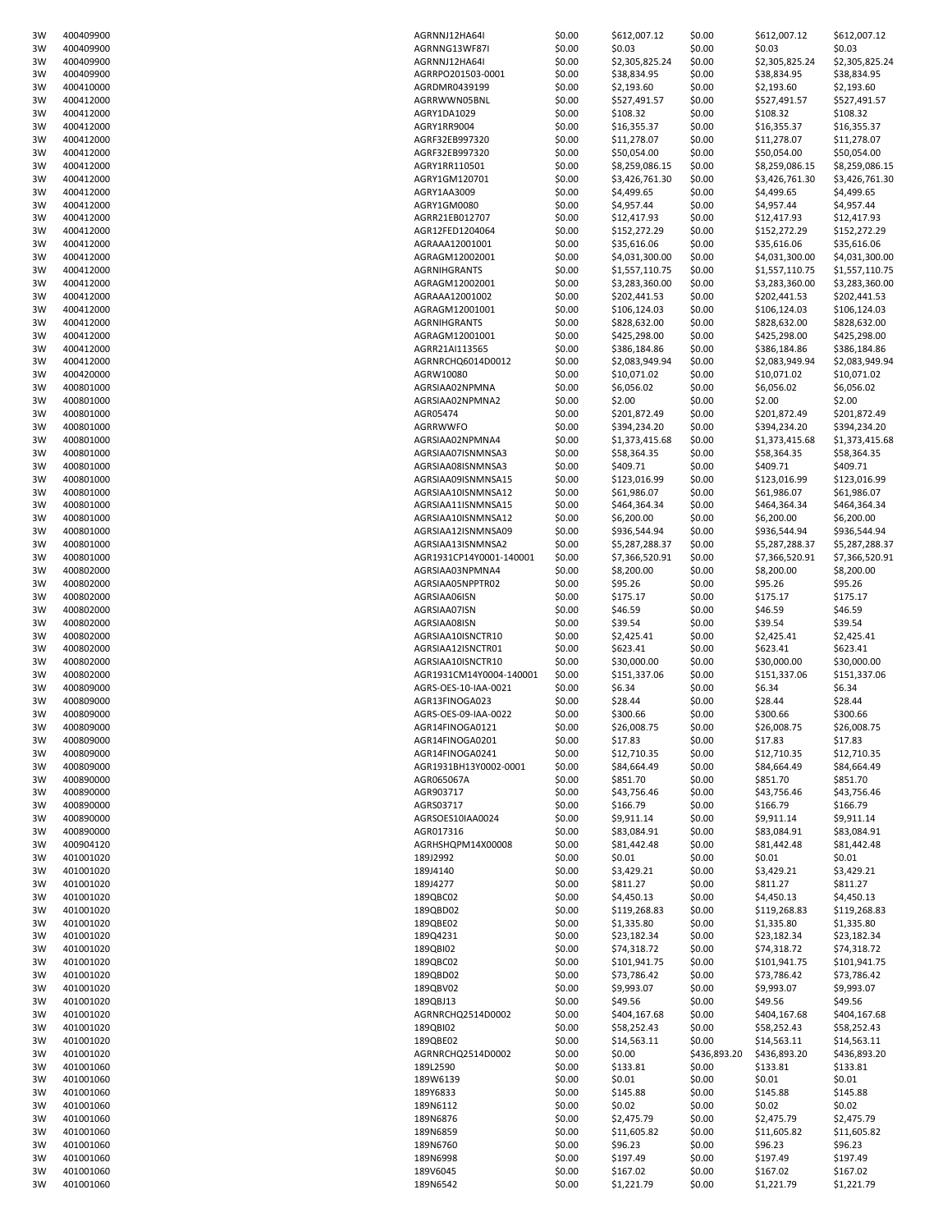| 3W | 400409900 | AGRNNJ12HA64I           | \$0.00 | \$612,007.12   | \$0.00       | \$612,007.12   | \$612,007.12   |
|----|-----------|-------------------------|--------|----------------|--------------|----------------|----------------|
| 3W | 400409900 | AGRNNG13WF87I           | \$0.00 | \$0.03         | \$0.00       | \$0.03         | \$0.03         |
| 3W | 400409900 | AGRNNJ12HA64I           | \$0.00 | \$2,305,825.24 | \$0.00       | \$2,305,825.24 | \$2,305,825.24 |
| 3W | 400409900 | AGRRPO201503-0001       | \$0.00 | \$38,834.95    | \$0.00       | \$38,834.95    | \$38,834.95    |
| 3W | 400410000 | AGRDMR0439199           | \$0.00 | \$2,193.60     | \$0.00       | \$2,193.60     | \$2,193.60     |
| 3W | 400412000 | AGRRWWN05BNL            | \$0.00 | \$527,491.57   | \$0.00       | \$527,491.57   | \$527,491.57   |
| 3W | 400412000 | AGRY1DA1029             | \$0.00 | \$108.32       | \$0.00       | \$108.32       | \$108.32       |
| 3W | 400412000 | AGRY1RR9004             | \$0.00 | \$16,355.37    | \$0.00       | \$16,355.37    | \$16,355.37    |
| 3W | 400412000 | AGRF32EB997320          | \$0.00 | \$11,278.07    | \$0.00       | \$11,278.07    | \$11,278.07    |
| 3W | 400412000 | AGRF32EB997320          | \$0.00 | \$50,054.00    | \$0.00       | \$50,054.00    | \$50,054.00    |
|    |           |                         |        |                |              |                |                |
| 3W | 400412000 | AGRY1RR110501           | \$0.00 | \$8,259,086.15 | \$0.00       | \$8,259,086.15 | \$8,259,086.15 |
| 3W | 400412000 | AGRY1GM120701           | \$0.00 | \$3,426,761.30 | \$0.00       | \$3,426,761.30 | \$3,426,761.30 |
| 3W | 400412000 | AGRY1AA3009             | \$0.00 | \$4,499.65     | \$0.00       | \$4,499.65     | \$4,499.65     |
| 3W | 400412000 | AGRY1GM0080             | \$0.00 | \$4,957.44     | \$0.00       | \$4,957.44     | \$4,957.44     |
| 3W | 400412000 | AGRR21EB012707          | \$0.00 | \$12,417.93    | \$0.00       | \$12,417.93    | \$12,417.93    |
| 3W | 400412000 | AGR12FED1204064         | \$0.00 | \$152,272.29   | \$0.00       | \$152,272.29   | \$152,272.29   |
| 3W | 400412000 | AGRAAA12001001          | \$0.00 | \$35,616.06    | \$0.00       | \$35,616.06    | \$35,616.06    |
| 3W | 400412000 | AGRAGM12002001          | \$0.00 | \$4,031,300.00 | \$0.00       | \$4,031,300.00 | \$4,031,300.00 |
|    |           |                         |        |                |              |                |                |
| 3W | 400412000 | AGRNIHGRANTS            | \$0.00 | \$1,557,110.75 | \$0.00       | \$1,557,110.75 | \$1,557,110.75 |
| 3W | 400412000 | AGRAGM12002001          | \$0.00 | \$3,283,360.00 | \$0.00       | \$3,283,360.00 | \$3,283,360.00 |
| 3W | 400412000 | AGRAAA12001002          | \$0.00 | \$202,441.53   | \$0.00       | \$202,441.53   | \$202,441.53   |
| 3W | 400412000 | AGRAGM12001001          | \$0.00 | \$106,124.03   | \$0.00       | \$106,124.03   | \$106,124.03   |
| 3W | 400412000 | AGRNIHGRANTS            | \$0.00 | \$828,632.00   | \$0.00       | \$828,632.00   | \$828,632.00   |
| 3W | 400412000 | AGRAGM12001001          | \$0.00 | \$425,298.00   | \$0.00       | \$425,298.00   | \$425,298.00   |
| 3W | 400412000 | AGRR21AI113565          | \$0.00 | \$386,184.86   | \$0.00       | \$386,184.86   | \$386,184.86   |
| 3W | 400412000 | AGRNRCHQ6014D0012       | \$0.00 | \$2,083,949.94 | \$0.00       | \$2,083,949.94 | \$2,083,949.94 |
| 3W | 400420000 | AGRW10080               | \$0.00 | \$10,071.02    | \$0.00       | \$10,071.02    | \$10,071.02    |
| 3W | 400801000 | AGRSIAA02NPMNA          | \$0.00 | \$6,056.02     | \$0.00       | \$6,056.02     | \$6,056.02     |
|    | 400801000 | AGRSIAA02NPMNA2         |        | \$2.00         |              | \$2.00         | \$2.00         |
| 3W |           |                         | \$0.00 | \$201,872.49   | \$0.00       |                |                |
| 3W | 400801000 | AGR05474                | \$0.00 |                | \$0.00       | \$201,872.49   | \$201,872.49   |
| 3W | 400801000 | AGRRWWFO                | \$0.00 | \$394,234.20   | \$0.00       | \$394,234.20   | \$394,234.20   |
| 3W | 400801000 | AGRSIAA02NPMNA4         | \$0.00 | \$1,373,415.68 | \$0.00       | \$1,373,415.68 | \$1,373,415.68 |
| 3W | 400801000 | AGRSIAA07ISNMNSA3       | \$0.00 | \$58,364.35    | \$0.00       | \$58,364.35    | \$58,364.35    |
| 3W | 400801000 | AGRSIAA08ISNMNSA3       | \$0.00 | \$409.71       | \$0.00       | \$409.71       | \$409.71       |
| 3W | 400801000 | AGRSIAA09ISNMNSA15      | \$0.00 | \$123,016.99   | \$0.00       | \$123,016.99   | \$123,016.99   |
| 3W | 400801000 | AGRSIAA10ISNMNSA12      | \$0.00 | \$61,986.07    | \$0.00       | \$61,986.07    | \$61,986.07    |
| 3W | 400801000 | AGRSIAA11ISNMNSA15      | \$0.00 | \$464,364.34   | \$0.00       | \$464,364.34   | \$464,364.34   |
| 3W | 400801000 | AGRSIAA10ISNMNSA12      | \$0.00 | \$6,200.00     | \$0.00       | \$6,200.00     | \$6,200.00     |
| 3W | 400801000 | AGRSIAA12ISNMNSA09      |        | \$936,544.94   |              | \$936,544.94   | \$936,544.94   |
|    |           |                         | \$0.00 |                | \$0.00       |                |                |
| 3W | 400801000 | AGRSIAA13ISNMNSA2       | \$0.00 | \$5,287,288.37 | \$0.00       | \$5,287,288.37 | \$5,287,288.37 |
| 3W | 400801000 | AGR1931CP14Y0001-140001 | \$0.00 | \$7,366,520.91 | \$0.00       | \$7,366,520.91 | \$7,366,520.91 |
| 3W | 400802000 | AGRSIAA03NPMNA4         | \$0.00 | \$8,200.00     | \$0.00       | \$8,200.00     | \$8,200.00     |
| 3W | 400802000 | AGRSIAA05NPPTR02        | \$0.00 | \$95.26        | \$0.00       | \$95.26        | \$95.26        |
| 3W | 400802000 | AGRSIAA06ISN            | \$0.00 | \$175.17       | \$0.00       | \$175.17       | \$175.17       |
| 3W | 400802000 | AGRSIAA07ISN            | \$0.00 | \$46.59        | \$0.00       | \$46.59        | \$46.59        |
| 3W | 400802000 | AGRSIAA08ISN            | \$0.00 | \$39.54        | \$0.00       | \$39.54        | \$39.54        |
| 3W | 400802000 | AGRSIAA10ISNCTR10       | \$0.00 | \$2,425.41     | \$0.00       | \$2,425.41     | \$2,425.41     |
| 3W | 400802000 | AGRSIAA12ISNCTR01       | \$0.00 | \$623.41       | \$0.00       | \$623.41       | \$623.41       |
| 3W | 400802000 | AGRSIAA10ISNCTR10       | \$0.00 | \$30,000.00    | \$0.00       | \$30,000.00    | \$30,000.00    |
|    |           |                         |        |                |              |                |                |
| 3W | 400802000 | AGR1931CM14Y0004-140001 | \$0.00 | \$151,337.06   | \$0.00       | \$151,337.06   | \$151,337.06   |
| 3W | 400809000 | AGRS-OES-10-IAA-0021    | \$0.00 | \$6.34         | \$0.00       | \$6.34         | \$6.34         |
| 3W | 400809000 | AGR13FINOGA023          | \$0.00 | \$28.44        | \$0.00       | \$28.44        | \$28.44        |
| 3W | 400809000 | AGRS-OES-09-IAA-0022    | \$0.00 | \$300.66       | \$0.00       | \$300.66       | \$300.66       |
| 3W | 400809000 | AGR14FINOGA0121         | \$0.00 | \$26,008.75    | \$0.00       | \$26,008.75    | \$26,008.75    |
| 3W | 400809000 | AGR14FINOGA0201         | \$0.00 | \$17.83        | \$0.00       | \$17.83        | \$17.83        |
| 3W | 400809000 | AGR14FINOGA0241         | \$0.00 | \$12,710.35    | \$0.00       | \$12,710.35    | \$12,710.35    |
| 3W | 400809000 | AGR1931BH13Y0002-0001   | \$0.00 | \$84,664.49    | \$0.00       | \$84,664.49    | \$84,664.49    |
| 3W | 400890000 | AGR065067A              | \$0.00 | \$851.70       | \$0.00       | \$851.70       | \$851.70       |
| 3W | 400890000 | AGR903717               | \$0.00 | \$43,756.46    | \$0.00       | \$43,756.46    | \$43,756.46    |
| 3W | 400890000 | AGRS03717               | \$0.00 | \$166.79       | \$0.00       | \$166.79       | \$166.79       |
|    |           |                         |        |                |              |                |                |
| 3W | 400890000 | AGRSOES10IAA0024        | \$0.00 | \$9,911.14     | \$0.00       | \$9,911.14     | \$9,911.14     |
| 3W | 400890000 | AGR017316               | \$0.00 | \$83,084.91    | \$0.00       | \$83,084.91    | \$83,084.91    |
| 3W | 400904120 | AGRHSHQPM14X00008       | \$0.00 | \$81,442.48    | \$0.00       | \$81,442.48    | \$81,442.48    |
| 3W | 401001020 | 189J2992                | \$0.00 | \$0.01         | \$0.00       | \$0.01         | \$0.01         |
| 3W | 401001020 | 189J4140                | \$0.00 | \$3,429.21     | \$0.00       | \$3,429.21     | \$3,429.21     |
| 3W | 401001020 | 189J4277                | \$0.00 | \$811.27       | \$0.00       | \$811.27       | \$811.27       |
| 3W | 401001020 | 189QBC02                | \$0.00 | \$4,450.13     | \$0.00       | \$4,450.13     | \$4,450.13     |
| 3W | 401001020 | 189QBD02                | \$0.00 | \$119,268.83   | \$0.00       | \$119,268.83   | \$119,268.83   |
| 3W | 401001020 | 189QBE02                | \$0.00 | \$1,335.80     | \$0.00       | \$1,335.80     | \$1,335.80     |
| 3W | 401001020 | 189Q4231                | \$0.00 | \$23,182.34    | \$0.00       | \$23,182.34    | \$23,182.34    |
| 3W | 401001020 | 189QBI02                | \$0.00 | \$74,318.72    | \$0.00       | \$74,318.72    | \$74,318.72    |
|    |           |                         |        |                |              |                |                |
| 3W | 401001020 | 189QBC02                | \$0.00 | \$101,941.75   | \$0.00       | \$101,941.75   | \$101,941.75   |
| 3W | 401001020 | 189QBD02                | \$0.00 | \$73,786.42    | \$0.00       | \$73,786.42    | \$73,786.42    |
| 3W | 401001020 | 189QBV02                | \$0.00 | \$9,993.07     | \$0.00       | \$9,993.07     | \$9,993.07     |
| 3W | 401001020 | 189QBJ13                | \$0.00 | \$49.56        | \$0.00       | \$49.56        | \$49.56        |
| 3W | 401001020 | AGRNRCHQ2514D0002       | \$0.00 | \$404,167.68   | \$0.00       | \$404,167.68   | \$404,167.68   |
| 3W |           |                         | \$0.00 | \$58,252.43    | \$0.00       | \$58,252.43    | \$58,252.43    |
|    | 401001020 | 189QBI02                |        |                |              |                |                |
| 3W | 401001020 | 189QBE02                | \$0.00 | \$14,563.11    | \$0.00       | \$14,563.11    | \$14,563.11    |
|    |           |                         |        |                |              |                |                |
| 3W | 401001020 | AGRNRCHQ2514D0002       | \$0.00 | \$0.00         | \$436,893.20 | \$436,893.20   | \$436,893.20   |
| 3W | 401001060 | 189L2590                | \$0.00 | \$133.81       | \$0.00       | \$133.81       | \$133.81       |
| 3W | 401001060 | 189W6139                | \$0.00 | \$0.01         | \$0.00       | \$0.01         | \$0.01         |
| 3W | 401001060 | 189Y6833                | \$0.00 | \$145.88       | \$0.00       | \$145.88       | \$145.88       |
| 3W | 401001060 | 189N6112                | \$0.00 | \$0.02         | \$0.00       | \$0.02         | \$0.02         |
| 3W | 401001060 | 189N6876                | \$0.00 | \$2,475.79     | \$0.00       | \$2,475.79     | \$2,475.79     |
| 3W | 401001060 | 189N6859                | \$0.00 | \$11,605.82    | \$0.00       | \$11,605.82    | \$11,605.82    |
| 3W | 401001060 | 189N6760                | \$0.00 | \$96.23        | \$0.00       | \$96.23        | \$96.23        |
| 3W | 401001060 | 189N6998                | \$0.00 | \$197.49       | \$0.00       | \$197.49       | \$197.49       |
| 3W | 401001060 | 189V6045                | \$0.00 | \$167.02       | \$0.00       | \$167.02       | \$167.02       |